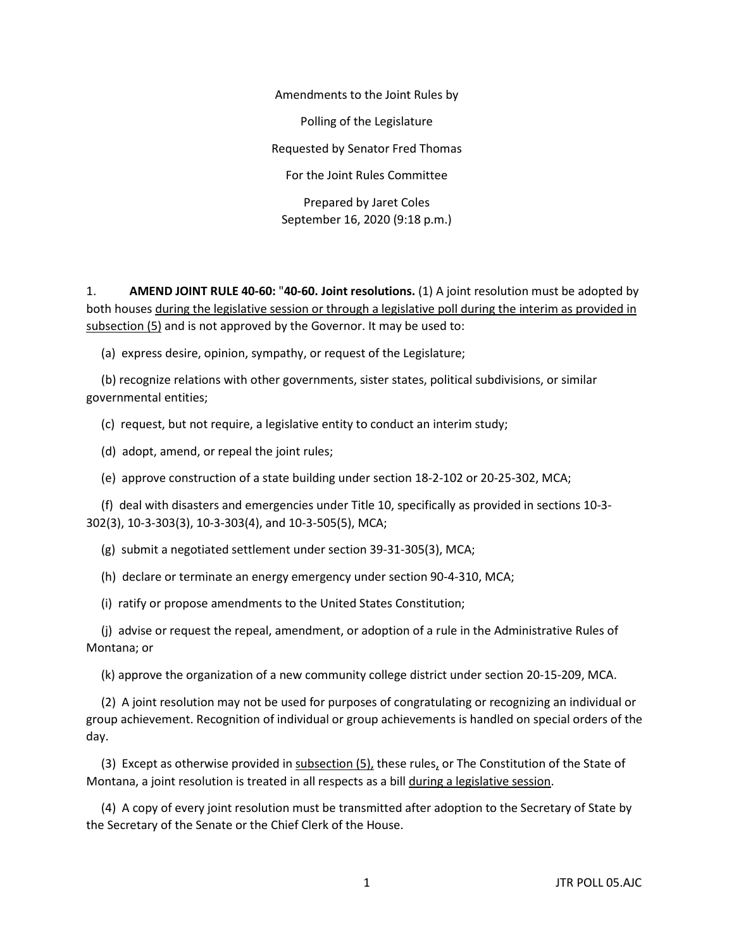Amendments to the Joint Rules by Polling of the Legislature Requested by Senator Fred Thomas For the Joint Rules Committee Prepared by Jaret Coles September 16, 2020 (9:18 p.m.)

1. **AMEND JOINT RULE 40-60:** "**40-60. Joint resolutions.** (1) A joint resolution must be adopted by both houses during the legislative session or through a legislative poll during the interim as provided in subsection (5) and is not approved by the Governor. It may be used to:

(a) express desire, opinion, sympathy, or request of the Legislature;

 (b) recognize relations with other governments, sister states, political subdivisions, or similar governmental entities;

(c) request, but not require, a legislative entity to conduct an interim study;

(d) adopt, amend, or repeal the joint rules;

(e) approve construction of a state building under section 18-2-102 or 20-25-302, MCA;

 (f) deal with disasters and emergencies under Title 10, specifically as provided in sections 10-3- 302(3), 10-3-303(3), 10-3-303(4), and 10-3-505(5), MCA;

(g) submit a negotiated settlement under section 39-31-305(3), MCA;

(h) declare or terminate an energy emergency under section 90-4-310, MCA;

(i) ratify or propose amendments to the United States Constitution;

 (j) advise or request the repeal, amendment, or adoption of a rule in the Administrative Rules of Montana; or

(k) approve the organization of a new community college district under section 20-15-209, MCA.

 (2) A joint resolution may not be used for purposes of congratulating or recognizing an individual or group achievement. Recognition of individual or group achievements is handled on special orders of the day.

(3) Except as otherwise provided in subsection  $(5)$ , these rules, or The Constitution of the State of Montana, a joint resolution is treated in all respects as a bill during a legislative session.

 (4) A copy of every joint resolution must be transmitted after adoption to the Secretary of State by the Secretary of the Senate or the Chief Clerk of the House.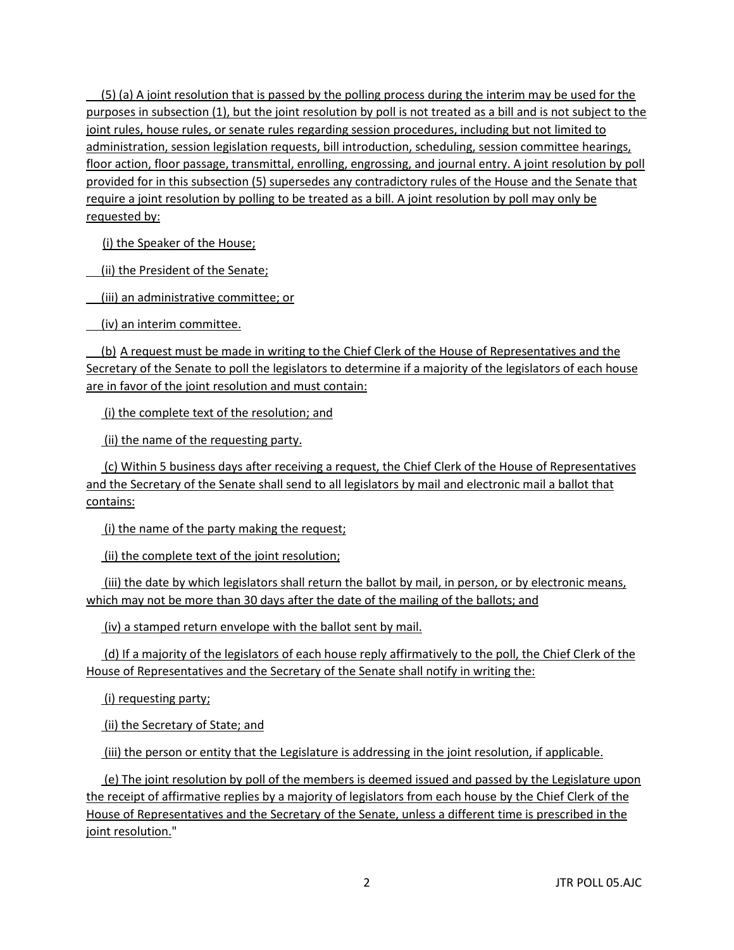$(5)$  (a) A joint resolution that is passed by the polling process during the interim may be used for the purposes in subsection (1), but the joint resolution by poll is not treated as a bill and is not subject to the joint rules, house rules, or senate rules regarding session procedures, including but not limited to administration, session legislation requests, bill introduction, scheduling, session committee hearings, floor action, floor passage, transmittal, enrolling, engrossing, and journal entry. A joint resolution by poll provided for in this subsection (5) supersedes any contradictory rules of the House and the Senate that require a joint resolution by polling to be treated as a bill. A joint resolution by poll may only be requested by:

(i) the Speaker of the House;

(ii) the President of the Senate;

(iii) an administrative committee; or

(iv) an interim committee.

 (b) A request must be made in writing to the Chief Clerk of the House of Representatives and the Secretary of the Senate to poll the legislators to determine if a majority of the legislators of each house are in favor of the joint resolution and must contain:

(i) the complete text of the resolution; and

(ii) the name of the requesting party.

 (c) Within 5 business days after receiving a request, the Chief Clerk of the House of Representatives and the Secretary of the Senate shall send to all legislators by mail and electronic mail a ballot that contains:

(i) the name of the party making the request;

(ii) the complete text of the joint resolution;

(iii) the date by which legislators shall return the ballot by mail, in person, or by electronic means, which may not be more than 30 days after the date of the mailing of the ballots; and

(iv) a stamped return envelope with the ballot sent by mail.

 (d) If a majority of the legislators of each house reply affirmatively to the poll, the Chief Clerk of the House of Representatives and the Secretary of the Senate shall notify in writing the:

(i) requesting party;

(ii) the Secretary of State; and

(iii) the person or entity that the Legislature is addressing in the joint resolution, if applicable.

 (e) The joint resolution by poll of the members is deemed issued and passed by the Legislature upon the receipt of affirmative replies by a majority of legislators from each house by the Chief Clerk of the House of Representatives and the Secretary of the Senate, unless a different time is prescribed in the joint resolution."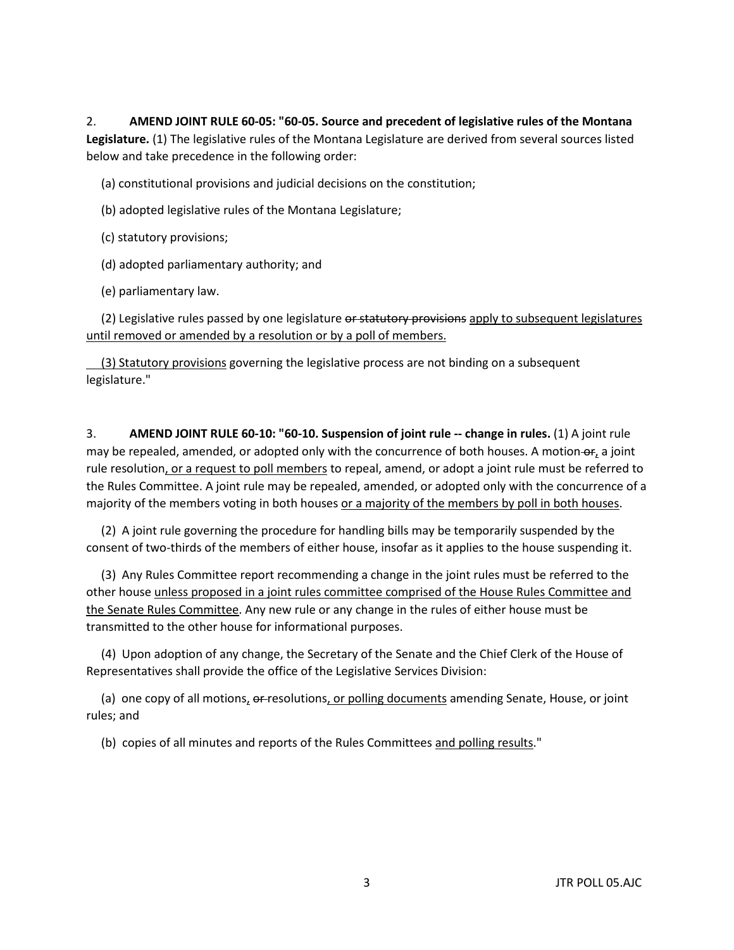2. **AMEND JOINT RULE 60-05: "60-05. Source and precedent of legislative rules of the Montana Legislature.** (1) The legislative rules of the Montana Legislature are derived from several sources listed below and take precedence in the following order:

(a) constitutional provisions and judicial decisions on the constitution;

- (b) adopted legislative rules of the Montana Legislature;
- (c) statutory provisions;
- (d) adopted parliamentary authority; and
- (e) parliamentary law.

(2) Legislative rules passed by one legislature or statutory provisions apply to subsequent legislatures until removed or amended by a resolution or by a poll of members.

 (3) Statutory provisions governing the legislative process are not binding on a subsequent legislature."

3. **AMEND JOINT RULE 60-10: "60-10. Suspension of joint rule -- change in rules.** (1) A joint rule may be repealed, amended, or adopted only with the concurrence of both houses. A motion-or, a joint rule resolution, or a request to poll members to repeal, amend, or adopt a joint rule must be referred to the Rules Committee. A joint rule may be repealed, amended, or adopted only with the concurrence of a majority of the members voting in both houses or a majority of the members by poll in both houses.

 (2) A joint rule governing the procedure for handling bills may be temporarily suspended by the consent of two-thirds of the members of either house, insofar as it applies to the house suspending it.

 (3) Any Rules Committee report recommending a change in the joint rules must be referred to the other house unless proposed in a joint rules committee comprised of the House Rules Committee and the Senate Rules Committee. Any new rule or any change in the rules of either house must be transmitted to the other house for informational purposes.

 (4) Upon adoption of any change, the Secretary of the Senate and the Chief Clerk of the House of Representatives shall provide the office of the Legislative Services Division:

(a) one copy of all motions, or resolutions, or polling documents amending Senate, House, or joint rules; and

(b) copies of all minutes and reports of the Rules Committees and polling results."